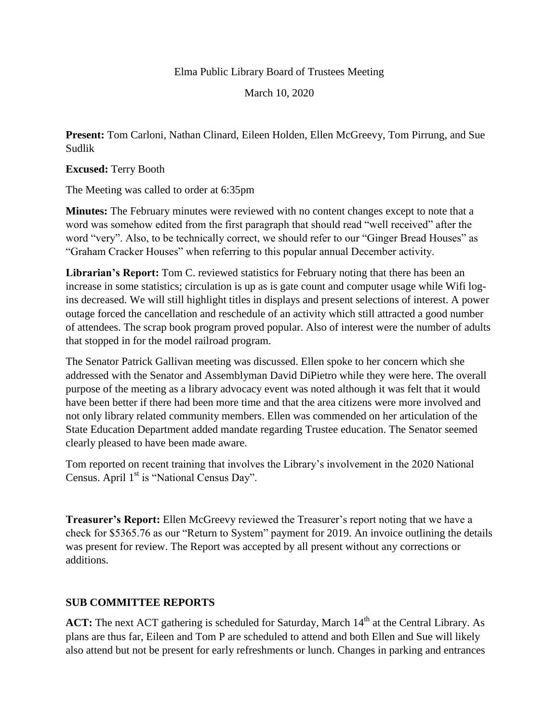## Elma Public Library Board of Trustees Meeting

March 10, 2020

**Present:** Tom Carloni, Nathan Clinard, Eileen Holden, Ellen McGreevy, Tom Pirrung, and Sue Sudlik

**Excused:** Terry Booth

The Meeting was called to order at 6:35pm

**Minutes:** The February minutes were reviewed with no content changes except to note that a word was somehow edited from the first paragraph that should read "well received" after the word "very". Also, to be technically correct, we should refer to our "Ginger Bread Houses" as "Graham Cracker Houses" when referring to this popular annual December activity.

**Librarian's Report:** Tom C. reviewed statistics for February noting that there has been an increase in some statistics; circulation is up as is gate count and computer usage while Wifi logins decreased. We will still highlight titles in displays and present selections of interest. A power outage forced the cancellation and reschedule of an activity which still attracted a good number of attendees. The scrap book program proved popular. Also of interest were the number of adults that stopped in for the model railroad program.

The Senator Patrick Gallivan meeting was discussed. Ellen spoke to her concern which she addressed with the Senator and Assemblyman David DiPietro while they were here. The overall purpose of the meeting as a library advocacy event was noted although it was felt that it would have been better if there had been more time and that the area citizens were more involved and not only library related community members. Ellen was commended on her articulation of the State Education Department added mandate regarding Trustee education. The Senator seemed clearly pleased to have been made aware.

Tom reported on recent training that involves the Library's involvement in the 2020 National Census. April 1<sup>st</sup> is "National Census Day".

**Treasurer's Report:** Ellen McGreevy reviewed the Treasurer's report noting that we have a check for \$5365.76 as our "Return to System" payment for 2019. An invoice outlining the details was present for review. The Report was accepted by all present without any corrections or additions.

## **SUB COMMITTEE REPORTS**

ACT: The next ACT gathering is scheduled for Saturday, March 14<sup>th</sup> at the Central Library. As plans are thus far, Eileen and Tom P are scheduled to attend and both Ellen and Sue will likely also attend but not be present for early refreshments or lunch. Changes in parking and entrances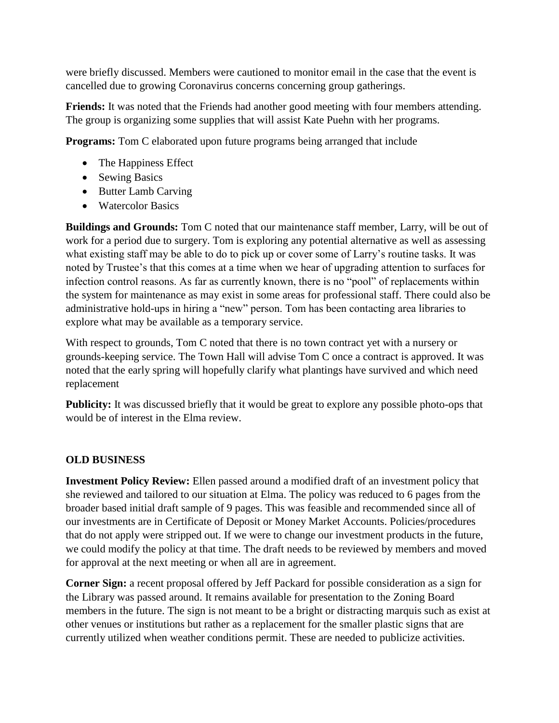were briefly discussed. Members were cautioned to monitor email in the case that the event is cancelled due to growing Coronavirus concerns concerning group gatherings.

**Friends:** It was noted that the Friends had another good meeting with four members attending. The group is organizing some supplies that will assist Kate Puehn with her programs.

**Programs:** Tom C elaborated upon future programs being arranged that include

- The Happiness Effect
- Sewing Basics
- Butter Lamb Carving
- Watercolor Basics

**Buildings and Grounds:** Tom C noted that our maintenance staff member, Larry, will be out of work for a period due to surgery. Tom is exploring any potential alternative as well as assessing what existing staff may be able to do to pick up or cover some of Larry's routine tasks. It was noted by Trustee's that this comes at a time when we hear of upgrading attention to surfaces for infection control reasons. As far as currently known, there is no "pool" of replacements within the system for maintenance as may exist in some areas for professional staff. There could also be administrative hold-ups in hiring a "new" person. Tom has been contacting area libraries to explore what may be available as a temporary service.

With respect to grounds, Tom C noted that there is no town contract yet with a nursery or grounds-keeping service. The Town Hall will advise Tom C once a contract is approved. It was noted that the early spring will hopefully clarify what plantings have survived and which need replacement

**Publicity:** It was discussed briefly that it would be great to explore any possible photo-ops that would be of interest in the Elma review.

## **OLD BUSINESS**

**Investment Policy Review:** Ellen passed around a modified draft of an investment policy that she reviewed and tailored to our situation at Elma. The policy was reduced to 6 pages from the broader based initial draft sample of 9 pages. This was feasible and recommended since all of our investments are in Certificate of Deposit or Money Market Accounts. Policies/procedures that do not apply were stripped out. If we were to change our investment products in the future, we could modify the policy at that time. The draft needs to be reviewed by members and moved for approval at the next meeting or when all are in agreement.

**Corner Sign:** a recent proposal offered by Jeff Packard for possible consideration as a sign for the Library was passed around. It remains available for presentation to the Zoning Board members in the future. The sign is not meant to be a bright or distracting marquis such as exist at other venues or institutions but rather as a replacement for the smaller plastic signs that are currently utilized when weather conditions permit. These are needed to publicize activities.